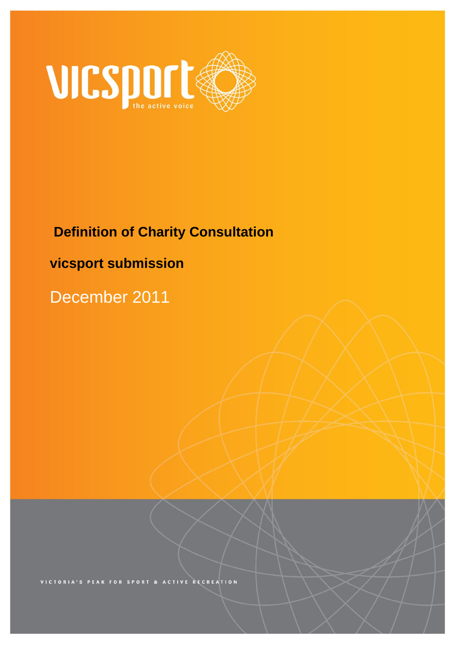

# **Definition of Charity Consultation**

# **vicsport submission**

December 2011

RECREATION **ACTIVE SPORT**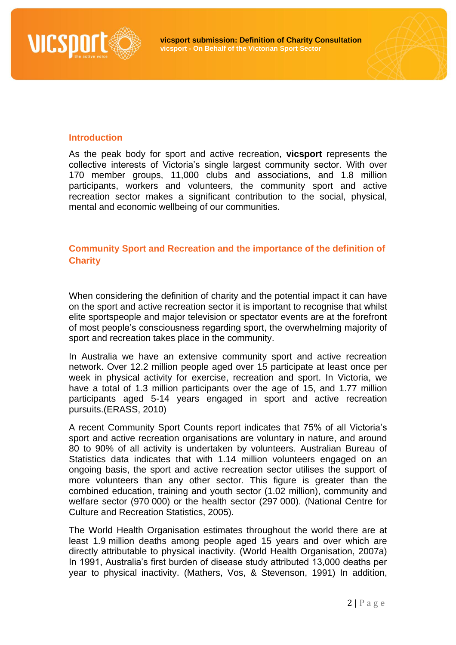

# **Introduction**

As the peak body for sport and active recreation, **vicsport** represents the collective interests of Victoria's single largest community sector. With over 170 member groups, 11,000 clubs and associations, and 1.8 million participants, workers and volunteers, the community sport and active recreation sector makes a significant contribution to the social, physical, mental and economic wellbeing of our communities.

# **Community Sport and Recreation and the importance of the definition of Charity**

When considering the definition of charity and the potential impact it can have on the sport and active recreation sector it is important to recognise that whilst elite sportspeople and major television or spectator events are at the forefront of most people's consciousness regarding sport, the overwhelming majority of sport and recreation takes place in the community.

In Australia we have an extensive community sport and active recreation network. Over 12.2 million people aged over 15 participate at least once per week in physical activity for exercise, recreation and sport. In Victoria, we have a total of 1.3 million participants over the age of 15, and 1.77 million participants aged 5-14 years engaged in sport and active recreation pursuits.(ERASS, 2010)

A recent Community Sport Counts report indicates that 75% of all Victoria's sport and active recreation organisations are voluntary in nature, and around 80 to 90% of all activity is undertaken by volunteers. Australian Bureau of Statistics data indicates that with 1.14 million volunteers engaged on an ongoing basis, the sport and active recreation sector utilises the support of more volunteers than any other sector. This figure is greater than the combined education, training and youth sector (1.02 million), community and welfare sector (970 000) or the health sector (297 000). (National Centre for Culture and Recreation Statistics, 2005).

The World Health Organisation estimates throughout the world there are at least 1.9 million deaths among people aged 15 years and over which are directly attributable to physical inactivity. (World Health Organisation, 2007a) In 1991, Australia's first burden of disease study attributed 13,000 deaths per year to physical inactivity. (Mathers, Vos, & Stevenson, 1991) In addition,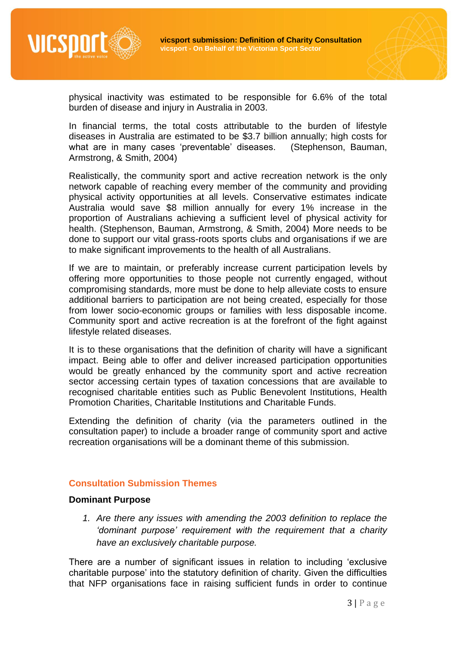

physical inactivity was estimated to be responsible for 6.6% of the total burden of disease and injury in Australia in 2003.

In financial terms, the total costs attributable to the burden of lifestyle diseases in Australia are estimated to be \$3.7 billion annually; high costs for what are in many cases 'preventable' diseases. (Stephenson, Bauman, Armstrong, & Smith, 2004)

Realistically, the community sport and active recreation network is the only network capable of reaching every member of the community and providing physical activity opportunities at all levels. Conservative estimates indicate Australia would save \$8 million annually for every 1% increase in the proportion of Australians achieving a sufficient level of physical activity for health. (Stephenson, Bauman, Armstrong, & Smith, 2004) More needs to be done to support our vital grass-roots sports clubs and organisations if we are to make significant improvements to the health of all Australians.

If we are to maintain, or preferably increase current participation levels by offering more opportunities to those people not currently engaged, without compromising standards, more must be done to help alleviate costs to ensure additional barriers to participation are not being created, especially for those from lower socio-economic groups or families with less disposable income. Community sport and active recreation is at the forefront of the fight against lifestyle related diseases.

It is to these organisations that the definition of charity will have a significant impact. Being able to offer and deliver increased participation opportunities would be greatly enhanced by the community sport and active recreation sector accessing certain types of taxation concessions that are available to recognised charitable entities such as Public Benevolent Institutions, Health Promotion Charities, Charitable Institutions and Charitable Funds.

Extending the definition of charity (via the parameters outlined in the consultation paper) to include a broader range of community sport and active recreation organisations will be a dominant theme of this submission.

#### **Consultation Submission Themes**

#### **Dominant Purpose**

*1. Are there any issues with amending the 2003 definition to replace the 'dominant purpose' requirement with the requirement that a charity have an exclusively charitable purpose.*

There are a number of significant issues in relation to including 'exclusive charitable purpose' into the statutory definition of charity. Given the difficulties that NFP organisations face in raising sufficient funds in order to continue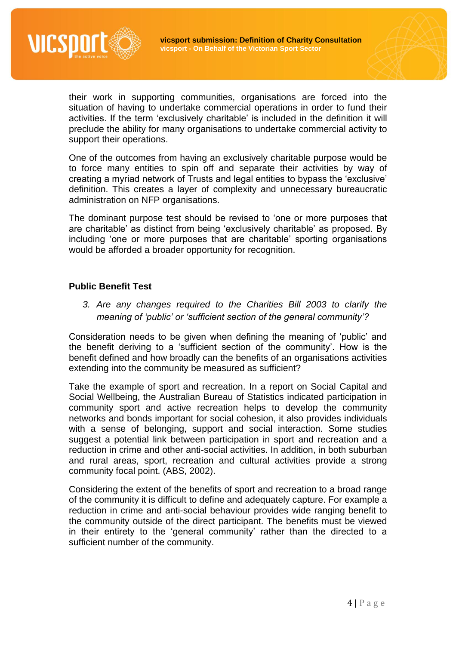

their work in supporting communities, organisations are forced into the situation of having to undertake commercial operations in order to fund their activities. If the term 'exclusively charitable' is included in the definition it will preclude the ability for many organisations to undertake commercial activity to support their operations.

One of the outcomes from having an exclusively charitable purpose would be to force many entities to spin off and separate their activities by way of creating a myriad network of Trusts and legal entities to bypass the 'exclusive' definition. This creates a layer of complexity and unnecessary bureaucratic administration on NFP organisations.

The dominant purpose test should be revised to 'one or more purposes that are charitable' as distinct from being 'exclusively charitable' as proposed. By including 'one or more purposes that are charitable' sporting organisations would be afforded a broader opportunity for recognition.

# **Public Benefit Test**

*3. Are any changes required to the Charities Bill 2003 to clarify the meaning of 'public' or 'sufficient section of the general community'?*

Consideration needs to be given when defining the meaning of 'public' and the benefit deriving to a 'sufficient section of the community'. How is the benefit defined and how broadly can the benefits of an organisations activities extending into the community be measured as sufficient?

Take the example of sport and recreation. In a report on Social Capital and Social Wellbeing, the Australian Bureau of Statistics indicated participation in community sport and active recreation helps to develop the community networks and bonds important for social cohesion, it also provides individuals with a sense of belonging, support and social interaction. Some studies suggest a potential link between participation in sport and recreation and a reduction in crime and other anti-social activities. In addition, in both suburban and rural areas, sport, recreation and cultural activities provide a strong community focal point. (ABS, 2002).

Considering the extent of the benefits of sport and recreation to a broad range of the community it is difficult to define and adequately capture. For example a reduction in crime and anti-social behaviour provides wide ranging benefit to the community outside of the direct participant. The benefits must be viewed in their entirety to the 'general community' rather than the directed to a sufficient number of the community.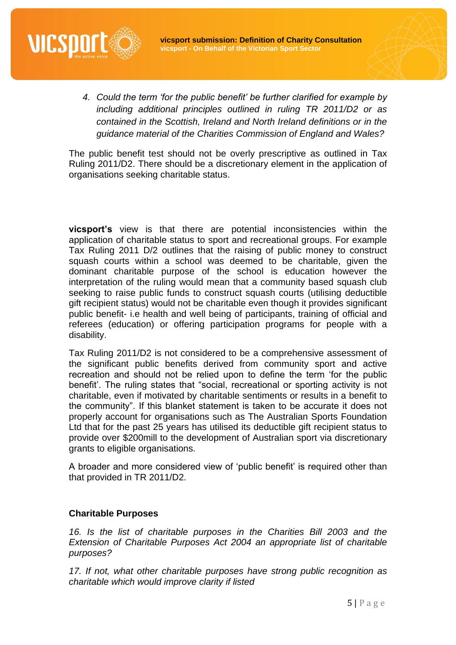

*4. Could the term 'for the public benefit' be further clarified for example by including additional principles outlined in ruling TR 2011/D2 or as contained in the Scottish, Ireland and North Ireland definitions or in the guidance material of the Charities Commission of England and Wales?*

The public benefit test should not be overly prescriptive as outlined in Tax Ruling 2011/D2. There should be a discretionary element in the application of organisations seeking charitable status.

**vicsport's** view is that there are potential inconsistencies within the application of charitable status to sport and recreational groups. For example Tax Ruling 2011 D/2 outlines that the raising of public money to construct squash courts within a school was deemed to be charitable, given the dominant charitable purpose of the school is education however the interpretation of the ruling would mean that a community based squash club seeking to raise public funds to construct squash courts (utilising deductible gift recipient status) would not be charitable even though it provides significant public benefit- i.e health and well being of participants, training of official and referees (education) or offering participation programs for people with a disability.

Tax Ruling 2011/D2 is not considered to be a comprehensive assessment of the significant public benefits derived from community sport and active recreation and should not be relied upon to define the term 'for the public benefit'. The ruling states that "social, recreational or sporting activity is not charitable, even if motivated by charitable sentiments or results in a benefit to the community". If this blanket statement is taken to be accurate it does not properly account for organisations such as The Australian Sports Foundation Ltd that for the past 25 years has utilised its deductible gift recipient status to provide over \$200mill to the development of Australian sport via discretionary grants to eligible organisations.

A broader and more considered view of 'public benefit' is required other than that provided in TR 2011/D2.

# **Charitable Purposes**

*16. Is the list of charitable purposes in the Charities Bill 2003 and the Extension of Charitable Purposes Act 2004 an appropriate list of charitable purposes?*

*17. If not, what other charitable purposes have strong public recognition as charitable which would improve clarity if listed*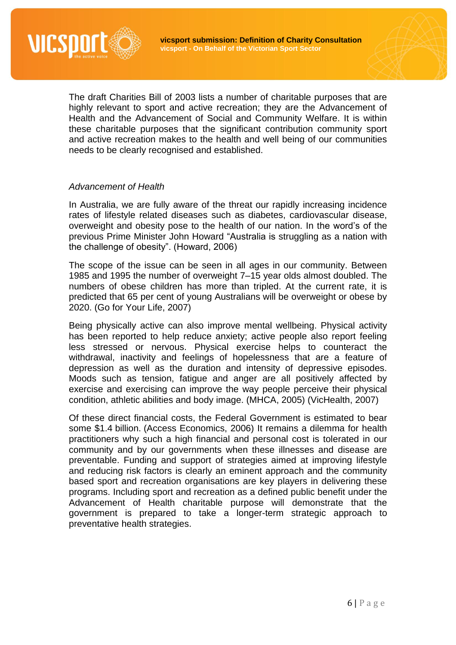

The draft Charities Bill of 2003 lists a number of charitable purposes that are highly relevant to sport and active recreation; they are the Advancement of Health and the Advancement of Social and Community Welfare. It is within these charitable purposes that the significant contribution community sport and active recreation makes to the health and well being of our communities needs to be clearly recognised and established.

### *Advancement of Health*

In Australia, we are fully aware of the threat our rapidly increasing incidence rates of lifestyle related diseases such as diabetes, cardiovascular disease, overweight and obesity pose to the health of our nation. In the word's of the previous Prime Minister John Howard "Australia is struggling as a nation with the challenge of obesity". (Howard, 2006)

The scope of the issue can be seen in all ages in our community. Between 1985 and 1995 the number of overweight 7–15 year olds almost doubled. The numbers of obese children has more than tripled. At the current rate, it is predicted that 65 per cent of young Australians will be overweight or obese by 2020. (Go for Your Life, 2007)

Being physically active can also improve mental wellbeing. Physical activity has been reported to help reduce anxiety; active people also report feeling less stressed or nervous. Physical exercise helps to counteract the withdrawal, inactivity and feelings of hopelessness that are a feature of depression as well as the duration and intensity of depressive episodes. Moods such as tension, fatigue and anger are all positively affected by exercise and exercising can improve the way people perceive their physical condition, athletic abilities and body image. (MHCA, 2005) (VicHealth, 2007)

Of these direct financial costs, the Federal Government is estimated to bear some \$1.4 billion. (Access Economics, 2006) It remains a dilemma for health practitioners why such a high financial and personal cost is tolerated in our community and by our governments when these illnesses and disease are preventable. Funding and support of strategies aimed at improving lifestyle and reducing risk factors is clearly an eminent approach and the community based sport and recreation organisations are key players in delivering these programs. Including sport and recreation as a defined public benefit under the Advancement of Health charitable purpose will demonstrate that the government is prepared to take a longer-term strategic approach to preventative health strategies.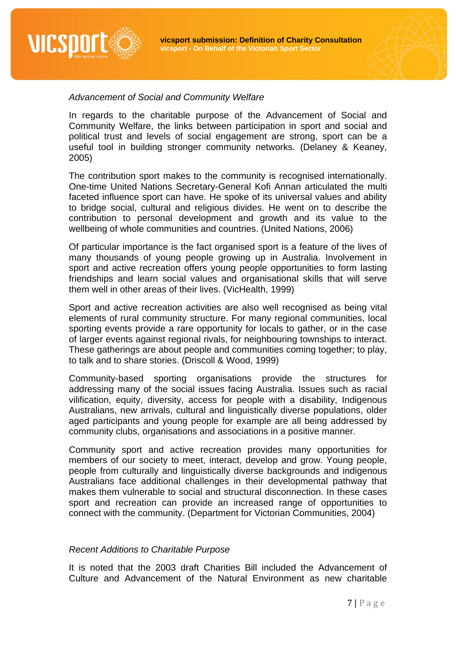



### *Advancement of Social and Community Welfare*

In regards to the charitable purpose of the Advancement of Social and Community Welfare, the links between participation in sport and social and political trust and levels of social engagement are strong, sport can be a useful tool in building stronger community networks. (Delaney & Keaney, 2005)

The contribution sport makes to the community is recognised internationally. One-time United Nations Secretary-General Kofi Annan articulated the multi faceted influence sport can have. He spoke of its universal values and ability to bridge social, cultural and religious divides. He went on to describe the contribution to personal development and growth and its value to the wellbeing of whole communities and countries. (United Nations, 2006)

Of particular importance is the fact organised sport is a feature of the lives of many thousands of young people growing up in Australia. Involvement in sport and active recreation offers young people opportunities to form lasting friendships and learn social values and organisational skills that will serve them well in other areas of their lives. (VicHealth, 1999)

Sport and active recreation activities are also well recognised as being vital elements of rural community structure. For many regional communities, local sporting events provide a rare opportunity for locals to gather, or in the case of larger events against regional rivals, for neighbouring townships to interact. These gatherings are about people and communities coming together; to play, to talk and to share stories. (Driscoll & Wood, 1999)

Community-based sporting organisations provide the structures for addressing many of the social issues facing Australia. Issues such as racial vilification, equity, diversity, access for people with a disability, Indigenous Australians, new arrivals, cultural and linguistically diverse populations, older aged participants and young people for example are all being addressed by community clubs, organisations and associations in a positive manner.

Community sport and active recreation provides many opportunities for members of our society to meet, interact, develop and grow. Young people, people from culturally and linguistically diverse backgrounds and indigenous Australians face additional challenges in their developmental pathway that makes them vulnerable to social and structural disconnection. In these cases sport and recreation can provide an increased range of opportunities to connect with the community. (Department for Victorian Communities, 2004)

#### *Recent Additions to Charitable Purpose*

It is noted that the 2003 draft Charities Bill included the Advancement of Culture and Advancement of the Natural Environment as new charitable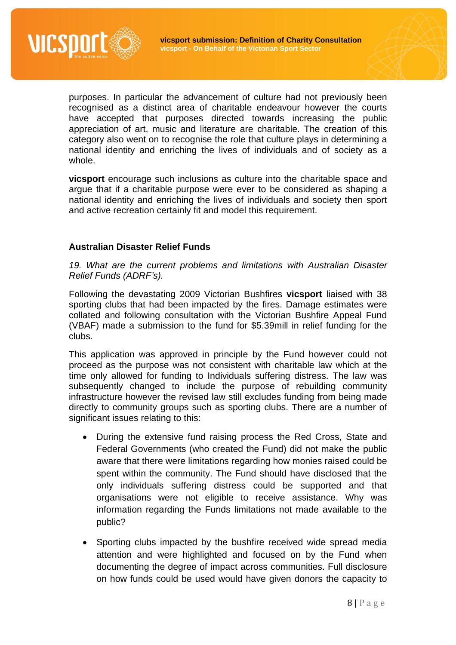

purposes. In particular the advancement of culture had not previously been recognised as a distinct area of charitable endeavour however the courts have accepted that purposes directed towards increasing the public appreciation of art, music and literature are charitable. The creation of this category also went on to recognise the role that culture plays in determining a national identity and enriching the lives of individuals and of society as a whole.

**vicsport** encourage such inclusions as culture into the charitable space and argue that if a charitable purpose were ever to be considered as shaping a national identity and enriching the lives of individuals and society then sport and active recreation certainly fit and model this requirement.

# **Australian Disaster Relief Funds**

*19. What are the current problems and limitations with Australian Disaster Relief Funds (ADRF's).*

Following the devastating 2009 Victorian Bushfires **vicsport** liaised with 38 sporting clubs that had been impacted by the fires. Damage estimates were collated and following consultation with the Victorian Bushfire Appeal Fund (VBAF) made a submission to the fund for \$5.39mill in relief funding for the clubs.

This application was approved in principle by the Fund however could not proceed as the purpose was not consistent with charitable law which at the time only allowed for funding to Individuals suffering distress. The law was subsequently changed to include the purpose of rebuilding community infrastructure however the revised law still excludes funding from being made directly to community groups such as sporting clubs. There are a number of significant issues relating to this:

- During the extensive fund raising process the Red Cross, State and Federal Governments (who created the Fund) did not make the public aware that there were limitations regarding how monies raised could be spent within the community. The Fund should have disclosed that the only individuals suffering distress could be supported and that organisations were not eligible to receive assistance. Why was information regarding the Funds limitations not made available to the public?
- Sporting clubs impacted by the bushfire received wide spread media attention and were highlighted and focused on by the Fund when documenting the degree of impact across communities. Full disclosure on how funds could be used would have given donors the capacity to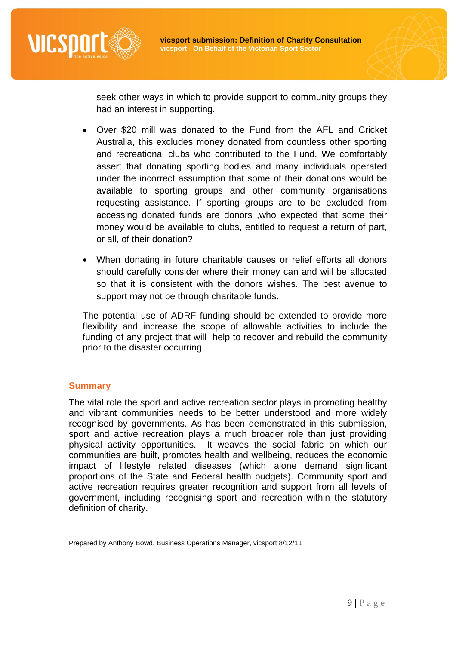

seek other ways in which to provide support to community groups they had an interest in supporting.

- Over \$20 mill was donated to the Fund from the AFL and Cricket Australia, this excludes money donated from countless other sporting and recreational clubs who contributed to the Fund. We comfortably assert that donating sporting bodies and many individuals operated under the incorrect assumption that some of their donations would be available to sporting groups and other community organisations requesting assistance. If sporting groups are to be excluded from accessing donated funds are donors ,who expected that some their money would be available to clubs, entitled to request a return of part, or all, of their donation?
- When donating in future charitable causes or relief efforts all donors should carefully consider where their money can and will be allocated so that it is consistent with the donors wishes. The best avenue to support may not be through charitable funds.

The potential use of ADRF funding should be extended to provide more flexibility and increase the scope of allowable activities to include the funding of any project that will help to recover and rebuild the community prior to the disaster occurring.

# **Summary**

The vital role the sport and active recreation sector plays in promoting healthy and vibrant communities needs to be better understood and more widely recognised by governments. As has been demonstrated in this submission, sport and active recreation plays a much broader role than just providing physical activity opportunities. It weaves the social fabric on which our communities are built, promotes health and wellbeing, reduces the economic impact of lifestyle related diseases (which alone demand significant proportions of the State and Federal health budgets). Community sport and active recreation requires greater recognition and support from all levels of government, including recognising sport and recreation within the statutory definition of charity.

Prepared by Anthony Bowd, Business Operations Manager, vicsport 8/12/11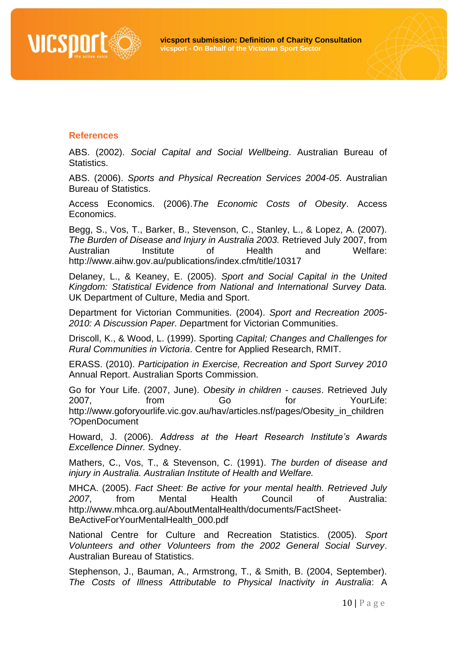

#### **References**

ABS. (2002). *Social Capital and Social Wellbeing*. Australian Bureau of Statistics.

ABS. (2006). *Sports and Physical Recreation Services 2004-05*. Australian Bureau of Statistics.

Access Economics. (2006).*The Economic Costs of Obesity*. Access Economics.

Begg, S., Vos, T., Barker, B., Stevenson, C., Stanley, L., & Lopez, A. (2007). *The Burden of Disease and Injury in Australia 2003.* Retrieved July 2007, from Australian Institute of Health and Welfare: http://www.aihw.gov.au/publications/index.cfm/title/10317

Delaney, L., & Keaney, E. (2005). *Sport and Social Capital in the United Kingdom: Statistical Evidence from National and International Survey Data.* UK Department of Culture, Media and Sport.

Department for Victorian Communities. (2004). *Sport and Recreation 2005- 2010: A Discussion Paper. D*epartment for Victorian Communities.

Driscoll, K., & Wood, L. (1999). Sporting *Capital; Changes and Challenges for Rural Communities in Victoria*. Centre for Applied Research, RMIT.

ERASS. (2010). *Participation in Exercise, Recreation and Sport Survey 2010* Annual Report. Australian Sports Commission.

Go for Your Life. (2007, June). *Obesity in children - causes*. Retrieved July 2007, from Go for YourLife: http://www.goforyourlife.vic.gov.au/hav/articles.nsf/pages/Obesity\_in\_children ?OpenDocument

Howard, J. (2006). *Address at the Heart Research Institute's Awards Excellence Dinner.* Sydney.

Mathers, C., Vos, T., & Stevenson, C. (1991). *The burden of disease and injury in Australia. Australian Institute of Health and Welfare.*

MHCA. (2005). *Fact Sheet: Be active for your mental health. Retrieved July 2007*, from Mental Health Council of Australia: http://www.mhca.org.au/AboutMentalHealth/documents/FactSheet-BeActiveForYourMentalHealth\_000.pdf

National Centre for Culture and Recreation Statistics. (2005). *Sport Volunteers and other Volunteers from the 2002 General Social Survey*. Australian Bureau of Statistics.

Stephenson, J., Bauman, A., Armstrong, T., & Smith, B. (2004, September). *The Costs of Illness Attributable to Physical Inactivity in Australia*: A